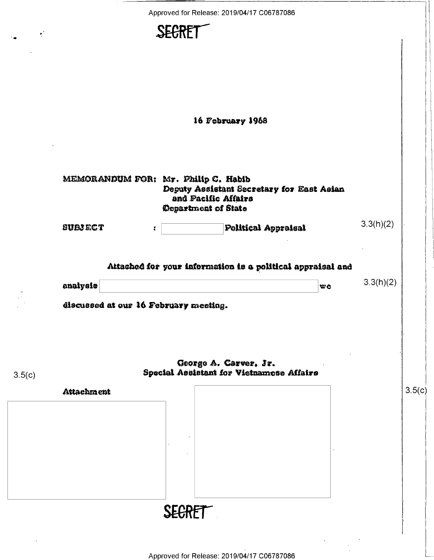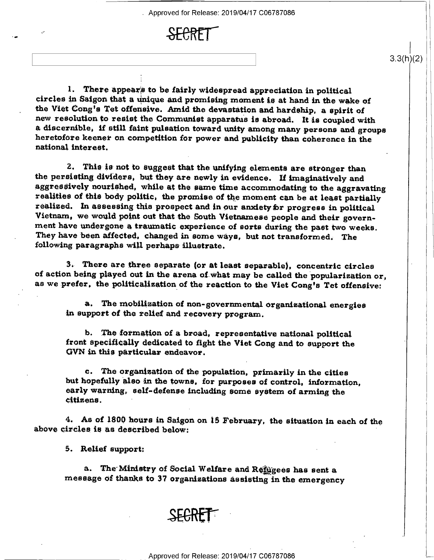. Approved for Release: 2019/04/17 C06787086

 $3.3(h)(2)$ 



1. There appears to be fairly widespread appreciation in political circles in Saigon that a unique and promising moment is at hand in the wake of the Viet Cong's Tet offensive. Amid the devastation and hardship, a spirit of new resolution to resist the Communist apparatus is abroad. It is coupled with<br>a discernible, if still faint pulsation toward unity among many persons and groups heretofore keener on competition for power and publicity than coherence in the national interest.

2. This is not to suggest that the unifying elements are stronger than the persisting dividers, but they are newly in evidence. If imaginatively and aggressively nourished, while at the same time accommodating to the aggravating realities of this body politic. the promise of the moment can be at least partially realized. In assessing this prospect and in our anxiety for progress in political Vietnam, we would point out that the South Vietnamese people and their government have undergone a traumatic experience of sorts during the past two weeks. They have been affected. changed in some ways, but not transformed.» The following paragraphs will perhaps illustrate.

3. There are three separate (or at least separable), concentric circles of action being played out in the arena of what may be called the popularization or, as we prefer, the politicalization of the reaction to the Viet Cong's Tet offensive:

a. The mobilization of non-governmental organizational energies in support of the relief and recovery program.

b. The formation of a broad, representative national political front specifically dedicated to fight the Viet Cong and to support the GVN in this particular endeavor.

c. The organization of the population, primarily in the cities but hopefully also in the towns, for purposes of control, information, early warning, self-defense including some system of arming the citizens. '

4. As of 1800 hours in Saigon on 15 February, the situation in each of the above circles is as described below:

5. Relief support:

a. The Ministry of Social Welfare and Refiggees has sent a. message of thanks to 37 organizations assisting in the emergency

**SHHHT**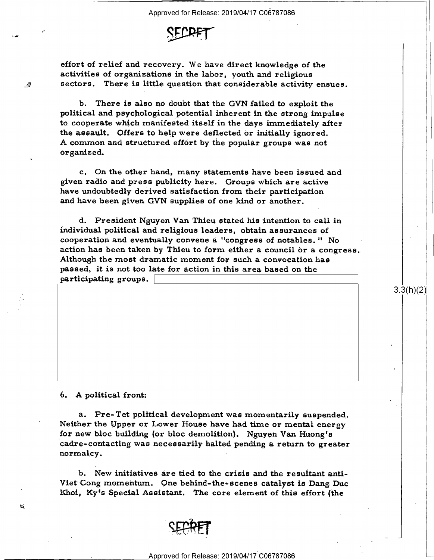

effort of relief and recovery. We have direct knowledge of the activities of organizations in the labor, youth and religious sectors. There is little question that considerable activity ensues.

b. There is also no doubt that the GVN failed to exploit the political and psychological potential inherent in the strong impulse to cooperate which manifested itself in the days immediately after<br>the assault. Offers to help were deflected or initially ignored. A common and structured effort by the popular groups was not organized.

c. On the other hand, many statements have been issued and given radio and press publicity here. Groups which are active have undoubtedly derived satisfaction from their participation and have been given GVN supplies of one kind or another.

d. President Nguyen Van Thieu stated his intention to call in individual political and religious leaders, obtain assurances of cooperation and eventually convene a "congress of notables. " No action has been taken by Thieu to form either a council or a congress. Although the most dramatic moment for such a convocation has passed, it is not too late for action in this area based on the participating groups.

 $3.3(11)(2)$ 

## 6. A political front:

 $\mathcal{L}$ 

¢-

 $\bullet$ 

J... .=-1'

a. Pre-Tet political development was momentarily suspended. Neither the Upper or Lower House have had time or mental energy for new bloc building (or bloc demolition). Nguyen Van Huong's cadre-contacting was necessarily halted pending a return to greater normalcy.

b. New initiatives are tied to the crisis and the resultant anti-Viet Cong momentum. One behind-the-scenes catalyst is Dang Duc Khoi, Ky's Special Assistant. The core element of this effort (the